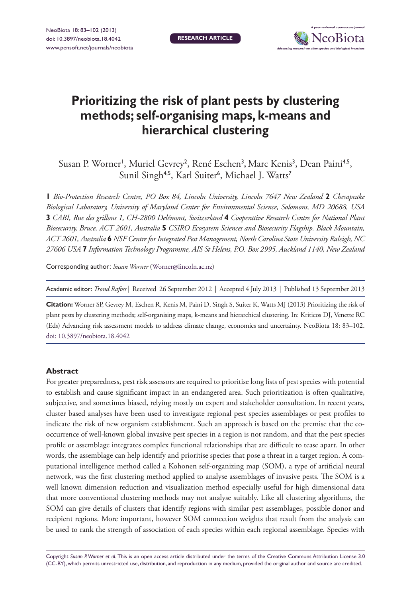

# **Prioritizing the risk of plant pests by clustering methods; self-organising maps, k-means and hierarchical clustering**

Susan P. Worner<sup>1</sup>, Muriel Gevrey<sup>2</sup>, René Eschen<sup>3</sup>, Marc Kenis<sup>3</sup>, Dean Paini<sup>4,5</sup>, Sunil Singh<sup>4,5</sup>, Karl Suiter<sup>6</sup>, Michael J. Watts<sup>7</sup>

**1** *Bio-Protection Research Centre, PO Box 84, Lincoln University, Lincoln 7647 New Zealand* **2** *Chesapeake Biological Laboratory, University of Maryland Center for Environmental Science, Solomons, MD 20688, USA*  **3** *CABI, Rue des grillons 1, CH-2800 Delémont, Switzerland* **4** *Cooperative Research Centre for National Plant Biosecurity, Bruce, ACT 2601, Australia* **5** *CSIRO Ecosystem Sciences and Biosecurity Flagship. Black Mountain, ACT 2601, Australia* **6** *NSF Centre for Integrated Pest Management, North Carolina State University Raleigh, NC 27606 USA* **7** *Information Technology Programme, AIS St Helens, P.O. Box 2995, Auckland 1140, New Zealand*

Corresponding author: *Susan Worner* [\(Worner@lincoln.ac.nz\)](mailto:Worner@lincoln.ac.nz)

Academic editor: *Trond Rafoss* | Received 26 September 2012 | Accepted 4 July 2013 | Published 13 September 2013

**Citation:** Worner SP, Gevrey M, Eschen R, Kenis M, Paini D, Singh S, Suiter K, Watts MJ (2013) Prioritizing the risk of plant pests by clustering methods; self-organising maps, k-means and hierarchical clustering. In: Kriticos DJ, Venette RC (Eds) Advancing risk assessment models to address climate change, economics and uncertainty. NeoBiota 18: 83–102. [doi: 10.3897/neobiota.18.4042](http://dx.doi.org/10.3897/neobiota.18.4042)

#### **Abstract**

For greater preparedness, pest risk assessors are required to prioritise long lists of pest species with potential to establish and cause significant impact in an endangered area. Such prioritization is often qualitative, subjective, and sometimes biased, relying mostly on expert and stakeholder consultation. In recent years, cluster based analyses have been used to investigate regional pest species assemblages or pest profiles to indicate the risk of new organism establishment. Such an approach is based on the premise that the cooccurrence of well-known global invasive pest species in a region is not random, and that the pest species profile or assemblage integrates complex functional relationships that are difficult to tease apart. In other words, the assemblage can help identify and prioritise species that pose a threat in a target region. A computational intelligence method called a Kohonen self-organizing map (SOM), a type of artificial neural network, was the first clustering method applied to analyse assemblages of invasive pests. The SOM is a well known dimension reduction and visualization method especially useful for high dimensional data that more conventional clustering methods may not analyse suitably. Like all clustering algorithms, the SOM can give details of clusters that identify regions with similar pest assemblages, possible donor and recipient regions. More important, however SOM connection weights that result from the analysis can be used to rank the strength of association of each species within each regional assemblage. Species with

Copyright *Susan P. Worner et al.* This is an open access article distributed under the terms of the [Creative Commons Attribution License 3.0](http://creativecommons.org/licenses/by/3.0/)  [\(CC-BY\),](http://creativecommons.org/licenses/by/3.0/) which permits unrestricted use, distribution, and reproduction in any medium, provided the original author and source are credited.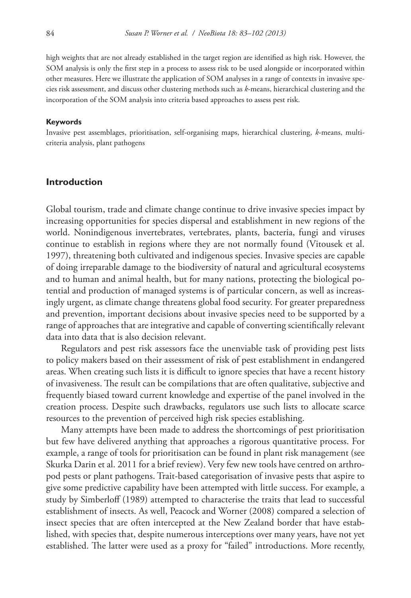high weights that are not already established in the target region are identified as high risk. However, the SOM analysis is only the first step in a process to assess risk to be used alongside or incorporated within other measures. Here we illustrate the application of SOM analyses in a range of contexts in invasive species risk assessment, and discuss other clustering methods such as *k*-means, hierarchical clustering and the incorporation of the SOM analysis into criteria based approaches to assess pest risk.

#### **Keywords**

Invasive pest assemblages, prioritisation, self-organising maps, hierarchical clustering, *k*-means, multicriteria analysis, plant pathogens

## **Introduction**

Global tourism, trade and climate change continue to drive invasive species impact by increasing opportunities for species dispersal and establishment in new regions of the world. Nonindigenous invertebrates, vertebrates, plants, bacteria, fungi and viruses continue to establish in regions where they are not normally found (Vitousek et al. 1997), threatening both cultivated and indigenous species. Invasive species are capable of doing irreparable damage to the biodiversity of natural and agricultural ecosystems and to human and animal health, but for many nations, protecting the biological potential and production of managed systems is of particular concern, as well as increasingly urgent, as climate change threatens global food security. For greater preparedness and prevention, important decisions about invasive species need to be supported by a range of approaches that are integrative and capable of converting scientifically relevant data into data that is also decision relevant.

Regulators and pest risk assessors face the unenviable task of providing pest lists to policy makers based on their assessment of risk of pest establishment in endangered areas. When creating such lists it is difficult to ignore species that have a recent history of invasiveness. The result can be compilations that are often qualitative, subjective and frequently biased toward current knowledge and expertise of the panel involved in the creation process. Despite such drawbacks, regulators use such lists to allocate scarce resources to the prevention of perceived high risk species establishing.

Many attempts have been made to address the shortcomings of pest prioritisation but few have delivered anything that approaches a rigorous quantitative process. For example, a range of tools for prioritisation can be found in plant risk management (see Skurka Darin et al. 2011 for a brief review). Very few new tools have centred on arthropod pests or plant pathogens. Trait-based categorisation of invasive pests that aspire to give some predictive capability have been attempted with little success. For example, a study by Simberloff (1989) attempted to characterise the traits that lead to successful establishment of insects. As well, Peacock and Worner (2008) compared a selection of insect species that are often intercepted at the New Zealand border that have established, with species that, despite numerous interceptions over many years, have not yet established. The latter were used as a proxy for "failed" introductions. More recently,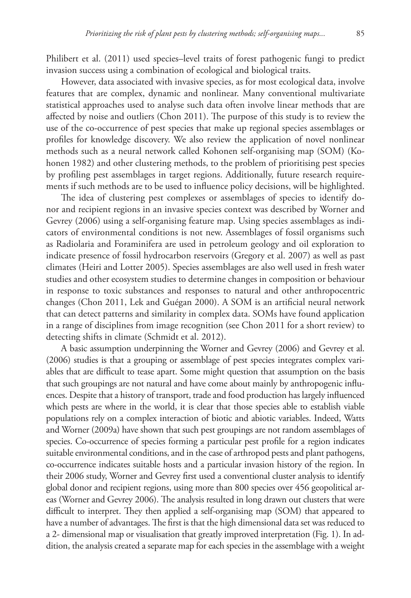Philibert et al. (2011) used species–level traits of forest pathogenic fungi to predict invasion success using a combination of ecological and biological traits.

However, data associated with invasive species, as for most ecological data, involve features that are complex, dynamic and nonlinear. Many conventional multivariate statistical approaches used to analyse such data often involve linear methods that are affected by noise and outliers (Chon 2011). The purpose of this study is to review the use of the co-occurrence of pest species that make up regional species assemblages or profiles for knowledge discovery. We also review the application of novel nonlinear methods such as a neural network called Kohonen self-organising map (SOM) (Kohonen 1982) and other clustering methods, to the problem of prioritising pest species by profiling pest assemblages in target regions. Additionally, future research requirements if such methods are to be used to influence policy decisions, will be highlighted.

The idea of clustering pest complexes or assemblages of species to identify donor and recipient regions in an invasive species context was described by Worner and Gevrey (2006) using a self-organising feature map. Using species assemblages as indicators of environmental conditions is not new. Assemblages of fossil organisms such as Radiolaria and Foraminifera are used in petroleum geology and oil exploration to indicate presence of fossil hydrocarbon reservoirs (Gregory et al. 2007) as well as past climates (Heiri and Lotter 2005). Species assemblages are also well used in fresh water studies and other ecosystem studies to determine changes in composition or behaviour in response to toxic substances and responses to natural and other anthropocentric changes (Chon 2011, Lek and Guégan 2000). A SOM is an artificial neural network that can detect patterns and similarity in complex data. SOMs have found application in a range of disciplines from image recognition (see Chon 2011 for a short review) to detecting shifts in climate (Schmidt et al. 2012).

A basic assumption underpinning the Worner and Gevrey (2006) and Gevrey et al. (2006) studies is that a grouping or assemblage of pest species integrates complex variables that are difficult to tease apart. Some might question that assumption on the basis that such groupings are not natural and have come about mainly by anthropogenic influences. Despite that a history of transport, trade and food production has largely influenced which pests are where in the world, it is clear that those species able to establish viable populations rely on a complex interaction of biotic and abiotic variables. Indeed, Watts and Worner (2009a) have shown that such pest groupings are not random assemblages of species. Co-occurrence of species forming a particular pest profile for a region indicates suitable environmental conditions, and in the case of arthropod pests and plant pathogens, co-occurrence indicates suitable hosts and a particular invasion history of the region. In their 2006 study, Worner and Gevrey first used a conventional cluster analysis to identify global donor and recipient regions, using more than 800 species over 456 geopolitical areas (Worner and Gevrey 2006). The analysis resulted in long drawn out clusters that were difficult to interpret. They then applied a self-organising map (SOM) that appeared to have a number of advantages. The first is that the high dimensional data set was reduced to a 2- dimensional map or visualisation that greatly improved interpretation (Fig. 1). In addition, the analysis created a separate map for each species in the assemblage with a weight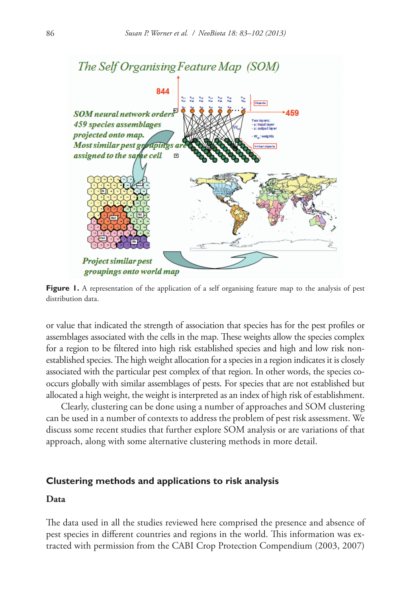

**Figure 1.** A representation of the application of a self organising feature map to the analysis of pest distribution data.

or value that indicated the strength of association that species has for the pest profiles or assemblages associated with the cells in the map. These weights allow the species complex for a region to be filtered into high risk established species and high and low risk nonestablished species. The high weight allocation for a species in a region indicates it is closely associated with the particular pest complex of that region. In other words, the species cooccurs globally with similar assemblages of pests. For species that are not established but allocated a high weight, the weight is interpreted as an index of high risk of establishment.

Clearly, clustering can be done using a number of approaches and SOM clustering can be used in a number of contexts to address the problem of pest risk assessment. We discuss some recent studies that further explore SOM analysis or are variations of that approach, along with some alternative clustering methods in more detail.

## **Clustering methods and applications to risk analysis**

# **Data**

The data used in all the studies reviewed here comprised the presence and absence of pest species in different countries and regions in the world. This information was extracted with permission from the CABI Crop Protection Compendium (2003, 2007)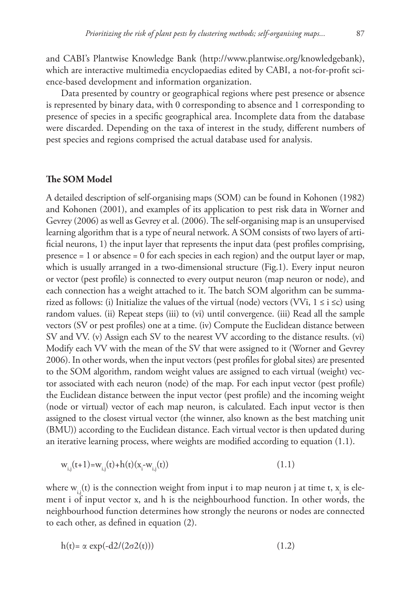and CABI's Plantwise Knowledge Bank (<http://www.plantwise.org/knowledgebank>), which are interactive multimedia encyclopaedias edited by CABI, a not-for-profit science-based development and information organization.

Data presented by country or geographical regions where pest presence or absence is represented by binary data, with 0 corresponding to absence and 1 corresponding to presence of species in a specific geographical area. Incomplete data from the database were discarded. Depending on the taxa of interest in the study, different numbers of pest species and regions comprised the actual database used for analysis.

#### **The SOM Model**

A detailed description of self-organising maps (SOM) can be found in Kohonen (1982) and Kohonen (2001), and examples of its application to pest risk data in Worner and Gevrey (2006) as well as Gevrey et al. (2006). The self-organising map is an unsupervised learning algorithm that is a type of neural network. A SOM consists of two layers of artificial neurons, 1) the input layer that represents the input data (pest profiles comprising, presence = 1 or absence = 0 for each species in each region) and the output layer or map, which is usually arranged in a two-dimensional structure (Fig.1). Every input neuron or vector (pest profile) is connected to every output neuron (map neuron or node), and each connection has a weight attached to it. The batch SOM algorithm can be summarized as follows: (i) Initialize the values of the virtual (node) vectors (VVi,  $1 \le i \le c$ ) using random values. (ii) Repeat steps (iii) to (vi) until convergence. (iii) Read all the sample vectors (SV or pest profiles) one at a time. (iv) Compute the Euclidean distance between SV and VV. (v) Assign each SV to the nearest VV according to the distance results. (vi) Modify each VV with the mean of the SV that were assigned to it (Worner and Gevrey 2006). In other words, when the input vectors (pest profiles for global sites) are presented to the SOM algorithm, random weight values are assigned to each virtual (weight) vector associated with each neuron (node) of the map. For each input vector (pest profile) the Euclidean distance between the input vector (pest profile) and the incoming weight (node or virtual) vector of each map neuron, is calculated. Each input vector is then assigned to the closest virtual vector (the winner, also known as the best matching unit (BMU)) according to the Euclidean distance. Each virtual vector is then updated during an iterative learning process, where weights are modified according to equation (1.1).

$$
w_{i,j}(t+1) = w_{i,j}(t) + h(t)(x_i - w_{i,j}(t))
$$
\n(1.1)

where  $\mathrm{w}_{_{\mathbf{i},\mathbf{j}}}(\mathbf{t})$  is the connection weight from input i to map neuron j at time t,  $\mathrm{x}_{_{\mathbf{i}}}$  is element i of input vector x, and h is the neighbourhood function. In other words, the neighbourhood function determines how strongly the neurons or nodes are connected to each other, as defined in equation (2).

$$
h(t) = \alpha \exp(-d2/(2\sigma2(t)))
$$
\n(1.2)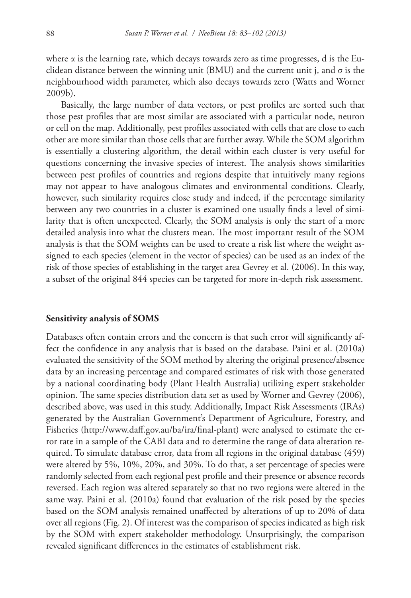where  $\alpha$  is the learning rate, which decays towards zero as time progresses, d is the Euclidean distance between the winning unit (BMU) and the current unit j, and  $\sigma$  is the neighbourhood width parameter, which also decays towards zero (Watts and Worner 2009b).

Basically, the large number of data vectors, or pest profiles are sorted such that those pest profiles that are most similar are associated with a particular node, neuron or cell on the map. Additionally, pest profiles associated with cells that are close to each other are more similar than those cells that are further away. While the SOM algorithm is essentially a clustering algorithm, the detail within each cluster is very useful for questions concerning the invasive species of interest. The analysis shows similarities between pest profiles of countries and regions despite that intuitively many regions may not appear to have analogous climates and environmental conditions. Clearly, however, such similarity requires close study and indeed, if the percentage similarity between any two countries in a cluster is examined one usually finds a level of similarity that is often unexpected. Clearly, the SOM analysis is only the start of a more detailed analysis into what the clusters mean. The most important result of the SOM analysis is that the SOM weights can be used to create a risk list where the weight assigned to each species (element in the vector of species) can be used as an index of the risk of those species of establishing in the target area Gevrey et al. (2006). In this way, a subset of the original 844 species can be targeted for more in-depth risk assessment.

#### **Sensitivity analysis of SOMS**

Databases often contain errors and the concern is that such error will significantly affect the confidence in any analysis that is based on the database. Paini et al. (2010a) evaluated the sensitivity of the SOM method by altering the original presence/absence data by an increasing percentage and compared estimates of risk with those generated by a national coordinating body (Plant Health Australia) utilizing expert stakeholder opinion. The same species distribution data set as used by Worner and Gevrey (2006), described above, was used in this study. Additionally, Impact Risk Assessments (IRAs) generated by the Australian Government's Department of Agriculture, Forestry, and Fisheries ([http://www.daff.gov.au/ba/ira/final-plant\)](http://www.daff.gov.au/ba/ira/final-plant) were analysed to estimate the error rate in a sample of the CABI data and to determine the range of data alteration required. To simulate database error, data from all regions in the original database (459) were altered by 5%, 10%, 20%, and 30%. To do that, a set percentage of species were randomly selected from each regional pest profile and their presence or absence records reversed. Each region was altered separately so that no two regions were altered in the same way. Paini et al. (2010a) found that evaluation of the risk posed by the species based on the SOM analysis remained unaffected by alterations of up to 20% of data over all regions (Fig. 2). Of interest was the comparison of species indicated as high risk by the SOM with expert stakeholder methodology. Unsurprisingly, the comparison revealed significant differences in the estimates of establishment risk.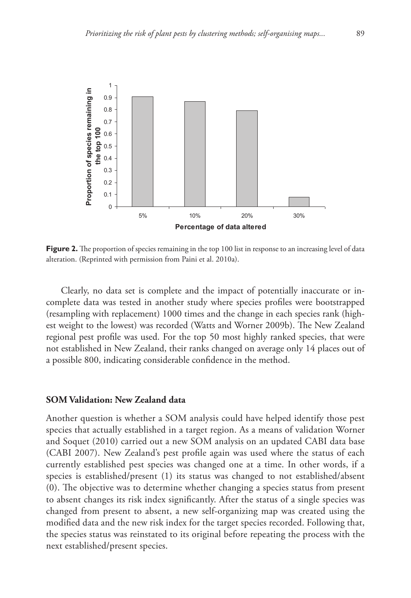

**Figure 2.** The proportion of species remaining in the top 100 list in response to an increasing level of data alteration. (Reprinted with permission from Paini et al. 2010a).

Clearly, no data set is complete and the impact of potentially inaccurate or incomplete data was tested in another study where species profiles were bootstrapped (resampling with replacement) 1000 times and the change in each species rank (highest weight to the lowest) was recorded (Watts and Worner 2009b). The New Zealand regional pest profile was used. For the top 50 most highly ranked species, that were not established in New Zealand, their ranks changed on average only 14 places out of a possible 800, indicating considerable confidence in the method.

## **SOM Validation: New Zealand data**

Another question is whether a SOM analysis could have helped identify those pest species that actually established in a target region. As a means of validation Worner and Soquet (2010) carried out a new SOM analysis on an updated CABI data base (CABI 2007). New Zealand's pest profile again was used where the status of each currently established pest species was changed one at a time. In other words, if a species is established/present (1) its status was changed to not established/absent (0). The objective was to determine whether changing a species status from present to absent changes its risk index significantly. After the status of a single species was changed from present to absent, a new self-organizing map was created using the modified data and the new risk index for the target species recorded. Following that, the species status was reinstated to its original before repeating the process with the next established/present species.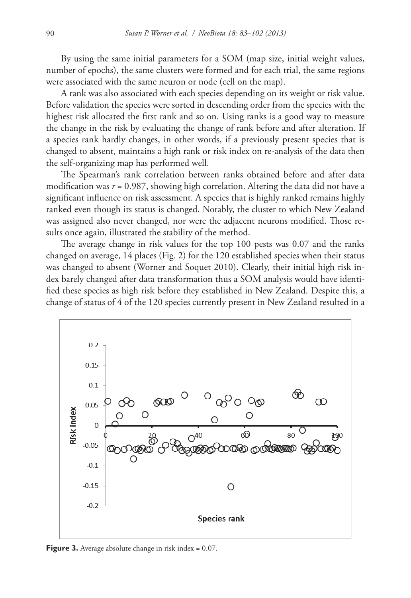By using the same initial parameters for a SOM (map size, initial weight values, number of epochs), the same clusters were formed and for each trial, the same regions were associated with the same neuron or node (cell on the map).

A rank was also associated with each species depending on its weight or risk value. Before validation the species were sorted in descending order from the species with the highest risk allocated the first rank and so on. Using ranks is a good way to measure the change in the risk by evaluating the change of rank before and after alteration. If a species rank hardly changes, in other words, if a previously present species that is changed to absent, maintains a high rank or risk index on re-analysis of the data then the self-organizing map has performed well.

The Spearman's rank correlation between ranks obtained before and after data modification was  $r = 0.987$ , showing high correlation. Altering the data did not have a significant influence on risk assessment. A species that is highly ranked remains highly ranked even though its status is changed. Notably, the cluster to which New Zealand was assigned also never changed, nor were the adjacent neurons modified. Those results once again, illustrated the stability of the method.

The average change in risk values for the top 100 pests was 0.07 and the ranks changed on average, 14 places (Fig. 2) for the 120 established species when their status was changed to absent (Worner and Soquet 2010). Clearly, their initial high risk index barely changed after data transformation thus a SOM analysis would have identified these species as high risk before they established in New Zealand. Despite this, a change of status of 4 of the 120 species currently present in New Zealand resulted in a



**Figure 3.** Average absolute change in risk index = 0.07.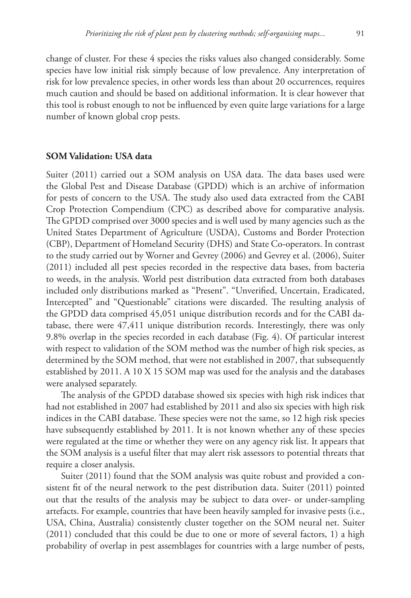change of cluster. For these 4 species the risks values also changed considerably. Some species have low initial risk simply because of low prevalence. Any interpretation of risk for low prevalence species, in other words less than about 20 occurrences, requires much caution and should be based on additional information. It is clear however that this tool is robust enough to not be influenced by even quite large variations for a large number of known global crop pests.

## **SOM Validation: USA data**

Suiter (2011) carried out a SOM analysis on USA data. The data bases used were the Global Pest and Disease Database (GPDD) which is an archive of information for pests of concern to the USA. The study also used data extracted from the CABI Crop Protection Compendium (CPC) as described above for comparative analysis. The GPDD comprised over 3000 species and is well used by many agencies such as the United States Department of Agriculture (USDA), Customs and Border Protection (CBP), Department of Homeland Security (DHS) and State Co-operators. In contrast to the study carried out by Worner and Gevrey (2006) and Gevrey et al. (2006), Suiter (2011) included all pest species recorded in the respective data bases, from bacteria to weeds, in the analysis. World pest distribution data extracted from both databases included only distributions marked as "Present". "Unverified, Uncertain, Eradicated, Intercepted" and "Questionable" citations were discarded. The resulting analysis of the GPDD data comprised 45,051 unique distribution records and for the CABI database, there were 47,411 unique distribution records. Interestingly, there was only 9.8% overlap in the species recorded in each database (Fig. 4). Of particular interest with respect to validation of the SOM method was the number of high risk species, as determined by the SOM method, that were not established in 2007, that subsequently established by 2011. A 10 X 15 SOM map was used for the analysis and the databases were analysed separately.

The analysis of the GPDD database showed six species with high risk indices that had not established in 2007 had established by 2011 and also six species with high risk indices in the CABI database. These species were not the same, so 12 high risk species have subsequently established by 2011. It is not known whether any of these species were regulated at the time or whether they were on any agency risk list. It appears that the SOM analysis is a useful filter that may alert risk assessors to potential threats that require a closer analysis.

Suiter (2011) found that the SOM analysis was quite robust and provided a consistent fit of the neural network to the pest distribution data. Suiter (2011) pointed out that the results of the analysis may be subject to data over- or under-sampling artefacts. For example, countries that have been heavily sampled for invasive pests (i.e., USA, China, Australia) consistently cluster together on the SOM neural net. Suiter (2011) concluded that this could be due to one or more of several factors, 1) a high probability of overlap in pest assemblages for countries with a large number of pests,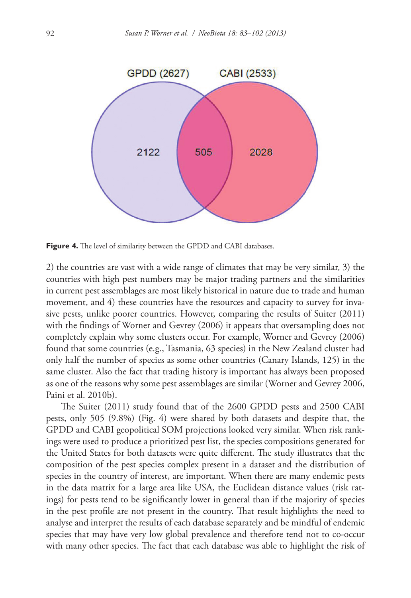

**Figure 4.** The level of similarity between the GPDD and CABI databases.

2) the countries are vast with a wide range of climates that may be very similar, 3) the countries with high pest numbers may be major trading partners and the similarities in current pest assemblages are most likely historical in nature due to trade and human movement, and 4) these countries have the resources and capacity to survey for invasive pests, unlike poorer countries. However, comparing the results of Suiter (2011) with the findings of Worner and Gevrey (2006) it appears that oversampling does not completely explain why some clusters occur. For example, Worner and Gevrey (2006) found that some countries (e.g., Tasmania, 63 species) in the New Zealand cluster had only half the number of species as some other countries (Canary Islands, 125) in the same cluster. Also the fact that trading history is important has always been proposed as one of the reasons why some pest assemblages are similar (Worner and Gevrey 2006, Paini et al. 2010b).

The Suiter (2011) study found that of the 2600 GPDD pests and 2500 CABI pests, only 505 (9.8%) (Fig. 4) were shared by both datasets and despite that, the GPDD and CABI geopolitical SOM projections looked very similar. When risk rankings were used to produce a prioritized pest list, the species compositions generated for the United States for both datasets were quite different. The study illustrates that the composition of the pest species complex present in a dataset and the distribution of species in the country of interest, are important. When there are many endemic pests in the data matrix for a large area like USA, the Euclidean distance values (risk ratings) for pests tend to be significantly lower in general than if the majority of species in the pest profile are not present in the country. That result highlights the need to analyse and interpret the results of each database separately and be mindful of endemic species that may have very low global prevalence and therefore tend not to co-occur with many other species. The fact that each database was able to highlight the risk of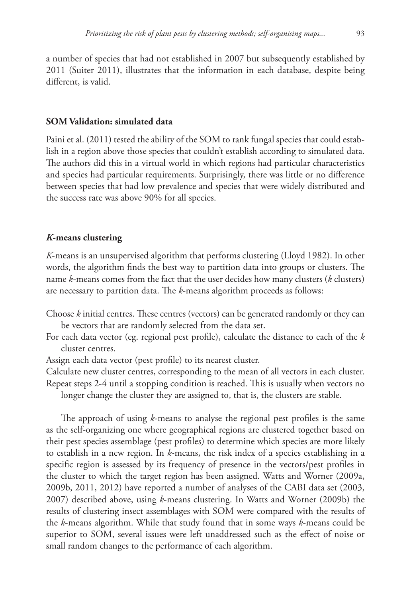a number of species that had not established in 2007 but subsequently established by 2011 (Suiter 2011), illustrates that the information in each database, despite being

different, is valid.

# **SOM Validation: simulated data**

Paini et al. (2011) tested the ability of the SOM to rank fungal species that could establish in a region above those species that couldn't establish according to simulated data. The authors did this in a virtual world in which regions had particular characteristics and species had particular requirements. Surprisingly, there was little or no difference between species that had low prevalence and species that were widely distributed and the success rate was above 90% for all species.

# *K***-means clustering**

*K*-means is an unsupervised algorithm that performs clustering (Lloyd 1982). In other words, the algorithm finds the best way to partition data into groups or clusters. The name *k*-means comes from the fact that the user decides how many clusters (*k* clusters) are necessary to partition data. The *k*-means algorithm proceeds as follows:

- Choose *k* initial centres. These centres (vectors) can be generated randomly or they can be vectors that are randomly selected from the data set.
- For each data vector (eg. regional pest profile), calculate the distance to each of the *k* cluster centres.
- Assign each data vector (pest profile) to its nearest cluster.

Calculate new cluster centres, corresponding to the mean of all vectors in each cluster. Repeat steps 2-4 until a stopping condition is reached. This is usually when vectors no longer change the cluster they are assigned to, that is, the clusters are stable.

The approach of using *k*-means to analyse the regional pest profiles is the same as the self-organizing one where geographical regions are clustered together based on their pest species assemblage (pest profiles) to determine which species are more likely to establish in a new region. In *k*-means, the risk index of a species establishing in a specific region is assessed by its frequency of presence in the vectors/pest profiles in the cluster to which the target region has been assigned. Watts and Worner (2009a, 2009b, 2011, 2012) have reported a number of analyses of the CABI data set (2003, 2007) described above, using *k*-means clustering. In Watts and Worner (2009b) the results of clustering insect assemblages with SOM were compared with the results of the *k*-means algorithm. While that study found that in some ways *k*-means could be superior to SOM, several issues were left unaddressed such as the effect of noise or small random changes to the performance of each algorithm.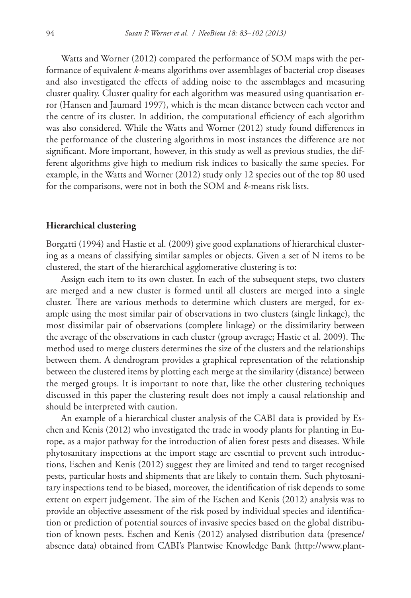Watts and Worner (2012) compared the performance of SOM maps with the performance of equivalent *k*-means algorithms over assemblages of bacterial crop diseases and also investigated the effects of adding noise to the assemblages and measuring cluster quality. Cluster quality for each algorithm was measured using quantisation error (Hansen and Jaumard 1997), which is the mean distance between each vector and the centre of its cluster. In addition, the computational efficiency of each algorithm was also considered. While the Watts and Worner (2012) study found differences in the performance of the clustering algorithms in most instances the difference are not significant. More important, however, in this study as well as previous studies, the different algorithms give high to medium risk indices to basically the same species. For example, in the Watts and Worner (2012) study only 12 species out of the top 80 used for the comparisons, were not in both the SOM and *k*-means risk lists.

#### **Hierarchical clustering**

Borgatti (1994) and Hastie et al. (2009) give good explanations of hierarchical clustering as a means of classifying similar samples or objects. Given a set of N items to be clustered, the start of the hierarchical agglomerative clustering is to:

Assign each item to its own cluster. In each of the subsequent steps, two clusters are merged and a new cluster is formed until all clusters are merged into a single cluster. There are various methods to determine which clusters are merged, for example using the most similar pair of observations in two clusters (single linkage), the most dissimilar pair of observations (complete linkage) or the dissimilarity between the average of the observations in each cluster (group average; Hastie et al. 2009). The method used to merge clusters determines the size of the clusters and the relationships between them. A dendrogram provides a graphical representation of the relationship between the clustered items by plotting each merge at the similarity (distance) between the merged groups. It is important to note that, like the other clustering techniques discussed in this paper the clustering result does not imply a causal relationship and should be interpreted with caution.

An example of a hierarchical cluster analysis of the CABI data is provided by Eschen and Kenis (2012) who investigated the trade in woody plants for planting in Europe, as a major pathway for the introduction of alien forest pests and diseases. While phytosanitary inspections at the import stage are essential to prevent such introductions, Eschen and Kenis (2012) suggest they are limited and tend to target recognised pests, particular hosts and shipments that are likely to contain them. Such phytosanitary inspections tend to be biased, moreover, the identification of risk depends to some extent on expert judgement. The aim of the Eschen and Kenis (2012) analysis was to provide an objective assessment of the risk posed by individual species and identification or prediction of potential sources of invasive species based on the global distribution of known pests. Eschen and Kenis (2012) analysed distribution data (presence/ absence data) obtained from CABI's Plantwise Knowledge Bank [\(http://www.plant-](http://www.plantwise.org/knowledgebank)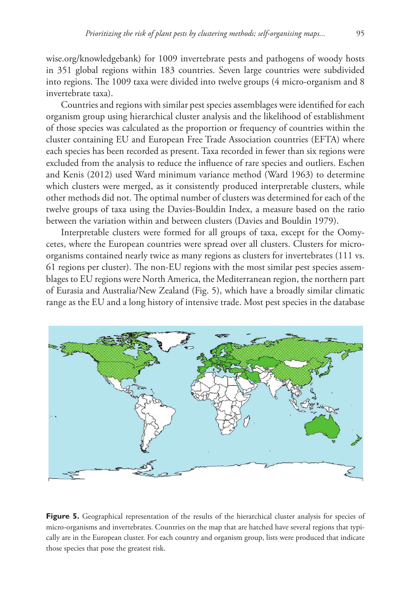[wise.org/knowledgebank](http://www.plantwise.org/knowledgebank)) for 1009 invertebrate pests and pathogens of woody hosts in 351 global regions within 183 countries. Seven large countries were subdivided into regions. The 1009 taxa were divided into twelve groups (4 micro-organism and 8 invertebrate taxa).

Countries and regions with similar pest species assemblages were identified for each organism group using hierarchical cluster analysis and the likelihood of establishment of those species was calculated as the proportion or frequency of countries within the cluster containing EU and European Free Trade Association countries (EFTA) where each species has been recorded as present. Taxa recorded in fewer than six regions were excluded from the analysis to reduce the influence of rare species and outliers. Eschen and Kenis (2012) used Ward minimum variance method (Ward 1963) to determine which clusters were merged, as it consistently produced interpretable clusters, while other methods did not. The optimal number of clusters was determined for each of the twelve groups of taxa using the Davies-Bouldin Index, a measure based on the ratio between the variation within and between clusters (Davies and Bouldin 1979).

Interpretable clusters were formed for all groups of taxa, except for the Oomycetes, where the European countries were spread over all clusters. Clusters for microorganisms contained nearly twice as many regions as clusters for invertebrates (111 vs. 61 regions per cluster). The non-EU regions with the most similar pest species assemblages to EU regions were North America, the Mediterranean region, the northern part of Eurasia and Australia/New Zealand (Fig. 5), which have a broadly similar climatic range as the EU and a long history of intensive trade. Most pest species in the database



Figure 5. Geographical representation of the results of the hierarchical cluster analysis for species of micro-organisms and invertebrates. Countries on the map that are hatched have several regions that typically are in the European cluster. For each country and organism group, lists were produced that indicate those species that pose the greatest risk.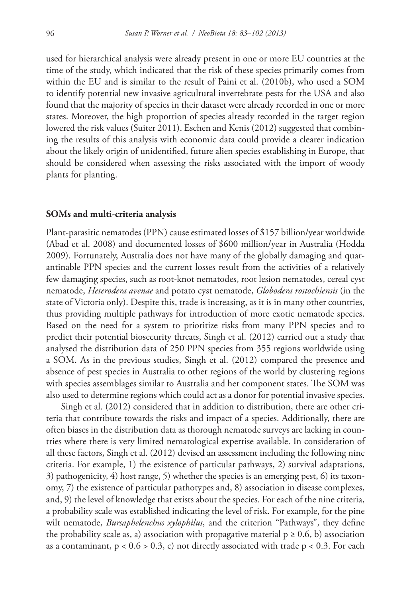used for hierarchical analysis were already present in one or more EU countries at the time of the study, which indicated that the risk of these species primarily comes from within the EU and is similar to the result of Paini et al. (2010b), who used a SOM to identify potential new invasive agricultural invertebrate pests for the USA and also found that the majority of species in their dataset were already recorded in one or more states. Moreover, the high proportion of species already recorded in the target region lowered the risk values (Suiter 2011). Eschen and Kenis (2012) suggested that combining the results of this analysis with economic data could provide a clearer indication about the likely origin of unidentified, future alien species establishing in Europe, that should be considered when assessing the risks associated with the import of woody plants for planting.

#### **SOMs and multi-criteria analysis**

Plant-parasitic nematodes (PPN) cause estimated losses of \$157 billion/year worldwide (Abad et al. 2008) and documented losses of \$600 million/year in Australia (Hodda 2009). Fortunately, Australia does not have many of the globally damaging and quarantinable PPN species and the current losses result from the activities of a relatively few damaging species, such as root-knot nematodes, root lesion nematodes, cereal cyst nematode, *Heterodera avenae* and potato cyst nematode, *Globodera rostochiensis* (in the state of Victoria only). Despite this, trade is increasing, as it is in many other countries, thus providing multiple pathways for introduction of more exotic nematode species. Based on the need for a system to prioritize risks from many PPN species and to predict their potential biosecurity threats, Singh et al. (2012) carried out a study that analysed the distribution data of 250 PPN species from 355 regions worldwide using a SOM. As in the previous studies, Singh et al. (2012) compared the presence and absence of pest species in Australia to other regions of the world by clustering regions with species assemblages similar to Australia and her component states. The SOM was also used to determine regions which could act as a donor for potential invasive species.

Singh et al. (2012) considered that in addition to distribution, there are other criteria that contribute towards the risks and impact of a species. Additionally, there are often biases in the distribution data as thorough nematode surveys are lacking in countries where there is very limited nematological expertise available. In consideration of all these factors, Singh et al. (2012) devised an assessment including the following nine criteria. For example, 1) the existence of particular pathways, 2) survival adaptations, 3) pathogenicity, 4) host range, 5) whether the species is an emerging pest, 6) its taxonomy, 7) the existence of particular pathotypes and, 8) association in disease complexes, and, 9) the level of knowledge that exists about the species. For each of the nine criteria, a probability scale was established indicating the level of risk. For example, for the pine wilt nematode, *Bursaphelenchus xylophilus*, and the criterion "Pathways", they define the probability scale as, a) association with propagative material  $p \ge 0.6$ , b) association as a contaminant,  $p < 0.6 > 0.3$ , c) not directly associated with trade  $p < 0.3$ . For each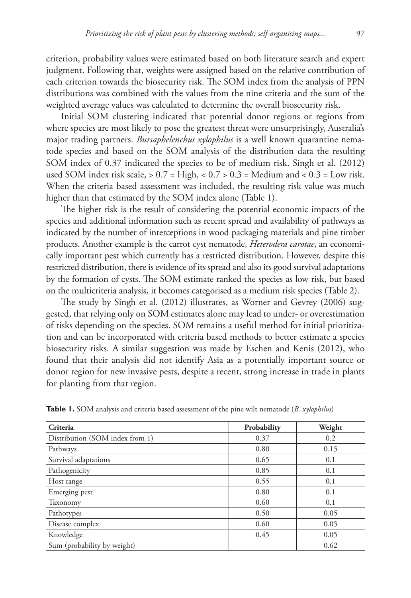criterion, probability values were estimated based on both literature search and expert judgment. Following that, weights were assigned based on the relative contribution of each criterion towards the biosecurity risk. The SOM index from the analysis of PPN distributions was combined with the values from the nine criteria and the sum of the weighted average values was calculated to determine the overall biosecurity risk.

Initial SOM clustering indicated that potential donor regions or regions from where species are most likely to pose the greatest threat were unsurprisingly, Australia's major trading partners. *Bursaphelenchus xylophilus* is a well known quarantine nematode species and based on the SOM analysis of the distribution data the resulting SOM index of 0.37 indicated the species to be of medium risk. Singh et al. (2012) used SOM index risk scale,  $> 0.7 =$  High,  $< 0.7 > 0.3 =$  Medium and  $< 0.3 =$  Low risk. When the criteria based assessment was included, the resulting risk value was much higher than that estimated by the SOM index alone (Table 1).

The higher risk is the result of considering the potential economic impacts of the species and additional information such as recent spread and availability of pathways as indicated by the number of interceptions in wood packaging materials and pine timber products. Another example is the carrot cyst nematode, *Heterodera carotae*, an economically important pest which currently has a restricted distribution. However, despite this restricted distribution, there is evidence of its spread and also its good survival adaptations by the formation of cysts. The SOM estimate ranked the species as low risk, but based on the multicriteria analysis, it becomes categorised as a medium risk species (Table 2).

The study by Singh et al. (2012) illustrates, as Worner and Gevrey (2006) suggested, that relying only on SOM estimates alone may lead to under- or overestimation of risks depending on the species. SOM remains a useful method for initial prioritization and can be incorporated with criteria based methods to better estimate a species biosecurity risks. A similar suggestion was made by Eschen and Kenis (2012), who found that their analysis did not identify Asia as a potentially important source or donor region for new invasive pests, despite a recent, strong increase in trade in plants for planting from that region.

| Criteria                        | Probability | Weight |
|---------------------------------|-------------|--------|
| Distribution (SOM index from 1) | 0.37        | 0.2    |
| Pathways                        | 0.80        | 0.15   |
| Survival adaptations            | 0.65        | 0.1    |
| Pathogenicity                   | 0.85        | 0.1    |
| Host range                      | 0.55        | 0.1    |
| Emerging pest                   | 0.80        | 0.1    |
| Taxonomy                        | 0.60        | 0.1    |
| Pathotypes                      | 0.50        | 0.05   |
| Disease complex                 | 0.60        | 0.05   |
| Knowledge                       | 0.45        | 0.05   |
| Sum (probability by weight)     |             | 0.62   |

**Table 1.** SOM analysis and criteria based assessment of the pine wilt nematode (*B. xylophilus*)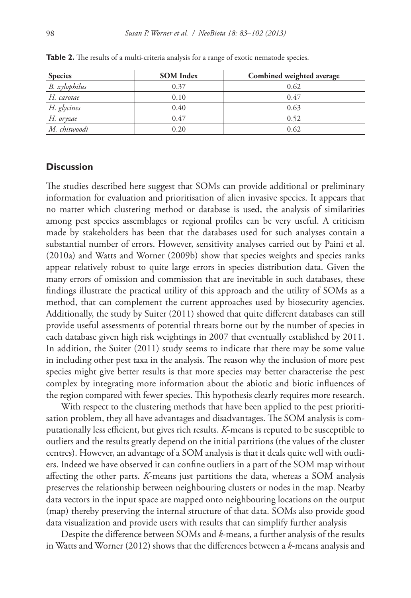| <b>Species</b> | <b>SOM</b> Index | Combined weighted average |
|----------------|------------------|---------------------------|
| B. xylophilus  | 0.37             | 0.62                      |
| H. carotae     | 0.10             | 0.47                      |
| H. glycines    | 0.40             | 0.63                      |
| H. oryzae      | 0.47             | 0.52                      |
| M. chitwoodi   | 0.20             | 0.62                      |

Table 2. The results of a multi-criteria analysis for a range of exotic nematode species.

## **Discussion**

The studies described here suggest that SOMs can provide additional or preliminary information for evaluation and prioritisation of alien invasive species. It appears that no matter which clustering method or database is used, the analysis of similarities among pest species assemblages or regional profiles can be very useful. A criticism made by stakeholders has been that the databases used for such analyses contain a substantial number of errors. However, sensitivity analyses carried out by Paini et al. (2010a) and Watts and Worner (2009b) show that species weights and species ranks appear relatively robust to quite large errors in species distribution data. Given the many errors of omission and commission that are inevitable in such databases, these findings illustrate the practical utility of this approach and the utility of SOMs as a method, that can complement the current approaches used by biosecurity agencies. Additionally, the study by Suiter (2011) showed that quite different databases can still provide useful assessments of potential threats borne out by the number of species in each database given high risk weightings in 2007 that eventually established by 2011. In addition, the Suiter (2011) study seems to indicate that there may be some value in including other pest taxa in the analysis. The reason why the inclusion of more pest species might give better results is that more species may better characterise the pest complex by integrating more information about the abiotic and biotic influences of the region compared with fewer species. This hypothesis clearly requires more research.

With respect to the clustering methods that have been applied to the pest prioritisation problem, they all have advantages and disadvantages. The SOM analysis is computationally less efficient, but gives rich results. *K*-means is reputed to be susceptible to outliers and the results greatly depend on the initial partitions (the values of the cluster centres). However, an advantage of a SOM analysis is that it deals quite well with outliers. Indeed we have observed it can confine outliers in a part of the SOM map without affecting the other parts. *K*-means just partitions the data, whereas a SOM analysis preserves the relationship between neighbouring clusters or nodes in the map. Nearby data vectors in the input space are mapped onto neighbouring locations on the output (map) thereby preserving the internal structure of that data. SOMs also provide good data visualization and provide users with results that can simplify further analysis

Despite the difference between SOMs and *k*-means, a further analysis of the results in Watts and Worner (2012) shows that the differences between a *k*-means analysis and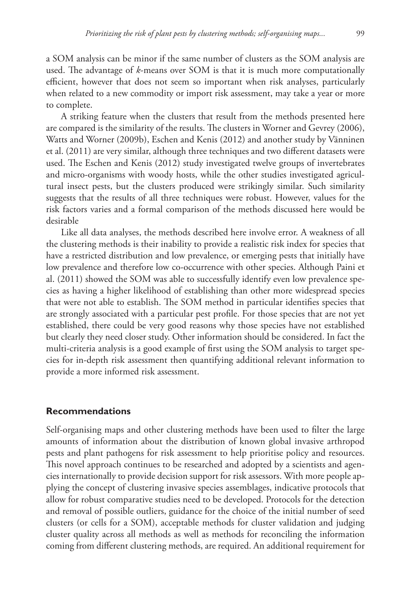a SOM analysis can be minor if the same number of clusters as the SOM analysis are used. The advantage of *k*-means over SOM is that it is much more computationally efficient, however that does not seem so important when risk analyses, particularly when related to a new commodity or import risk assessment, may take a year or more to complete.

A striking feature when the clusters that result from the methods presented here are compared is the similarity of the results. The clusters in Worner and Gevrey (2006), Watts and Worner (2009b), Eschen and Kenis (2012) and another study by Vänninen et al. (2011) are very similar, although three techniques and two different datasets were used. The Eschen and Kenis (2012) study investigated twelve groups of invertebrates and micro-organisms with woody hosts, while the other studies investigated agricultural insect pests, but the clusters produced were strikingly similar. Such similarity suggests that the results of all three techniques were robust. However, values for the risk factors varies and a formal comparison of the methods discussed here would be desirable

Like all data analyses, the methods described here involve error. A weakness of all the clustering methods is their inability to provide a realistic risk index for species that have a restricted distribution and low prevalence, or emerging pests that initially have low prevalence and therefore low co-occurrence with other species. Although Paini et al. (2011) showed the SOM was able to successfully identify even low prevalence species as having a higher likelihood of establishing than other more widespread species that were not able to establish. The SOM method in particular identifies species that are strongly associated with a particular pest profile. For those species that are not yet established, there could be very good reasons why those species have not established but clearly they need closer study. Other information should be considered. In fact the multi-criteria analysis is a good example of first using the SOM analysis to target species for in-depth risk assessment then quantifying additional relevant information to provide a more informed risk assessment.

## **Recommendations**

Self-organising maps and other clustering methods have been used to filter the large amounts of information about the distribution of known global invasive arthropod pests and plant pathogens for risk assessment to help prioritise policy and resources. This novel approach continues to be researched and adopted by a scientists and agencies internationally to provide decision support for risk assessors. With more people applying the concept of clustering invasive species assemblages, indicative protocols that allow for robust comparative studies need to be developed. Protocols for the detection and removal of possible outliers, guidance for the choice of the initial number of seed clusters (or cells for a SOM), acceptable methods for cluster validation and judging cluster quality across all methods as well as methods for reconciling the information coming from different clustering methods, are required. An additional requirement for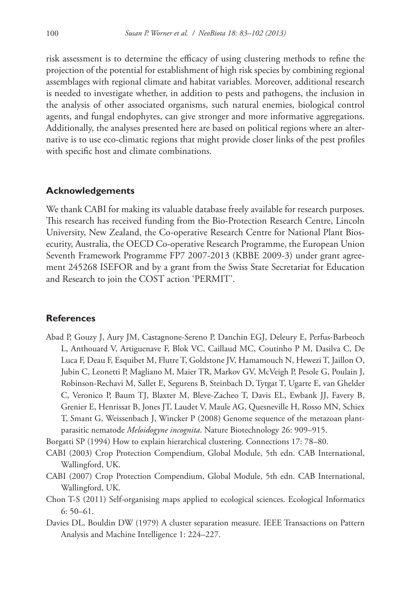risk assessment is to determine the efficacy of using clustering methods to refine the projection of the potential for establishment of high risk species by combining regional assemblages with regional climate and habitat variables. Moreover, additional research is needed to investigate whether, in addition to pests and pathogens, the inclusion in the analysis of other associated organisms, such natural enemies, biological control agents, and fungal endophytes, can give stronger and more informative aggregations. Additionally, the analyses presented here are based on political regions where an alternative is to use eco-climatic regions that might provide closer links of the pest profiles with specific host and climate combinations.

## **Acknowledgements**

We thank CABI for making its valuable database freely available for research purposes. This research has received funding from the Bio-Protection Research Centre, Lincoln University, New Zealand, the Co-operative Research Centre for National Plant Biosecurity, Australia, the OECD Co-operative Research Programme, the European Union Seventh Framework Programme FP7 2007-2013 (KBBE 2009-3) under grant agreement 245268 ISEFOR and by a grant from the Swiss State Secretariat for Education and Research to join the COST action 'PERMIT'.

## **References**

Abad P, Gouzy J, Aury JM, Castagnone-Sereno P, Danchin EGJ, Deleury E, Perfus-Barbeoch L, Anthouard V, Artiguenave F, Blok VC, Caillaud MC, Coutinho P M, Dasilva C, De Luca F, Deau F, Esquibet M, Flutre T, Goldstone JV, Hamamouch N, Hewezi T, Jaillon O, Jubin C, Leonetti P, Magliano M, Maier TR, Markov GV, McVeigh P, Pesole G, Poulain J, Robinson-Rechavi M, Sallet E, Segurens B, Steinbach D, Tytgat T, Ugarte E, van Ghelder C, Veronico P, Baum TJ, Blaxter M, Bleve-Zacheo T, Davis EL, Ewbank JJ, Favery B, Grenier E, Henrissat B, Jones JT, Laudet V, Maule AG, Quesneville H, Rosso MN, Schiex T, Smant G, Weissenbach J, Wincker P (2008) Genome sequence of the metazoan plantparasitic nematode *Meloidogyne incognita*. Nature Biotechnology 26: 909–915.

Borgatti SP (1994) How to explain hierarchical clustering. Connections 17: 78–80.

- CABI (2003) Crop Protection Compendium, Global Module, 5th edn. CAB International, Wallingford, UK.
- CABI (2007) Crop Protection Compendium, Global Module, 5th edn. CAB International, Wallingford, UK.
- Chon T-S (2011) Self-organising maps applied to ecological sciences. Ecological Informatics 6: 50–61.
- Davies DL, Bouldin DW (1979) A cluster separation measure. IEEE Transactions on Pattern Analysis and Machine Intelligence 1: 224–227.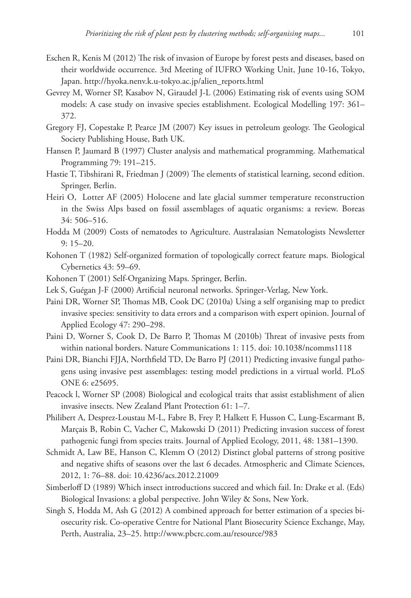- Eschen R, Kenis M (2012) The risk of invasion of Europe by forest pests and diseases, based on their worldwide occurrence. 3rd Meeting of IUFRO Working Unit, June 10-16, Tokyo, Japan. [http://hyoka.nenv.k.u-tokyo.ac.jp/alien\\_reports.html](http://hyoka.nenv.k.u-tokyo.ac.jp/alien_reports.html)
- Gevrey M, Worner SP, Kasabov N, Giraudel J-L (2006) Estimating risk of events using SOM models: A case study on invasive species establishment. Ecological Modelling 197: 361– 372.
- Gregory FJ, Copestake P, Pearce JM (2007) Key issues in petroleum geology. The Geological Society Publishing House, Bath UK.
- Hansen P, Jaumard B (1997) Cluster analysis and mathematical programming. Mathematical Programming 79: 191–215.
- Hastie T, Tibshirani R, Friedman J (2009) The elements of statistical learning, second edition. Springer, Berlin.
- Heiri O, Lotter AF (2005) Holocene and late glacial summer temperature reconstruction in the Swiss Alps based on fossil assemblages of aquatic organisms: a review. Boreas 34: 506–516.
- Hodda M (2009) Costs of nematodes to Agriculture. Australasian Nematologists Newsletter 9: 15–20.
- Kohonen T (1982) Self-organized formation of topologically correct feature maps. Biological Cybernetics 43: 59–69.
- Kohonen T (2001) Self-Organizing Maps. Springer, Berlin.
- Lek S, Guégan J-F (2000) Artificial neuronal networks. Springer-Verlag, New York.
- Paini DR, Worner SP, Thomas MB, Cook DC (2010a) Using a self organising map to predict invasive species: sensitivity to data errors and a comparison with expert opinion. Journal of Applied Ecology 47: 290–298.
- Paini D, Worner S, Cook D, De Barro P, Thomas M (2010b) Threat of invasive pests from within national borders. Nature Communications 1: 115. [doi: 10.1038/ncomms1118](http://dx.doi.org/10.1038/ncomms1118)
- Paini DR, Bianchi FJJA, Northfield TD, De Barro PJ (2011) Predicting invasive fungal pathogens using invasive pest assemblages: testing model predictions in a virtual world. PLoS ONE 6: e25695.
- Peacock l, Worner SP (2008) Biological and ecological traits that assist establishment of alien invasive insects. New Zealand Plant Protection 61: 1–7.
- Philibert A, Desprez-Loustau M-L, Fabre B, Frey P, Halkett F, Husson C, Lung-Escarmant B, Marçais B, Robin C, Vacher C, Makowski D (2011) Predicting invasion success of forest pathogenic fungi from species traits. Journal of Applied Ecology, 2011, 48: 1381–1390.
- Schmidt A, Law BE, Hanson C, Klemm O (2012) Distinct global patterns of strong positive and negative shifts of seasons over the last 6 decades. Atmospheric and Climate Sciences, 2012, 1: 76–88. [doi: 10.4236/acs.2012.21009](http://dx.doi.org/10.4236/acs.2012.21009)
- Simberloff D (1989) Which insect introductions succeed and which fail. In: Drake et al. (Eds) Biological Invasions: a global perspective. John Wiley & Sons, New York.
- Singh S, Hodda M, Ash G (2012) A combined approach for better estimation of a species biosecurity risk. Co-operative Centre for National Plant Biosecurity Science Exchange, May, Perth, Australia, 23–25. <http://www.pbcrc.com.au/resource/983>